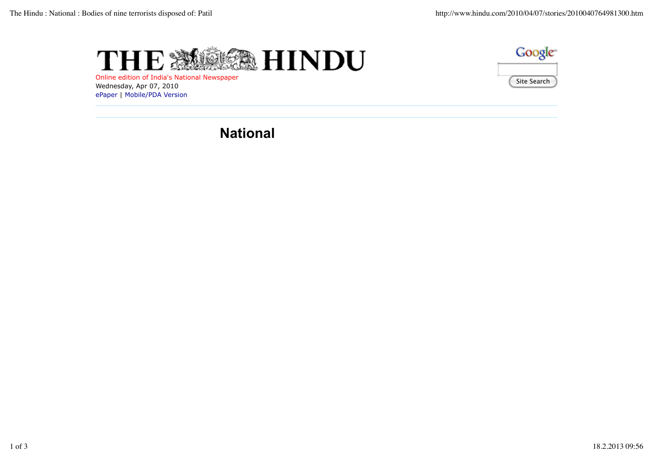



Online edition of India's National Newspaper Wednesday, Apr 07, 2010 ePaper | Mobile/PDA Version

# **National**